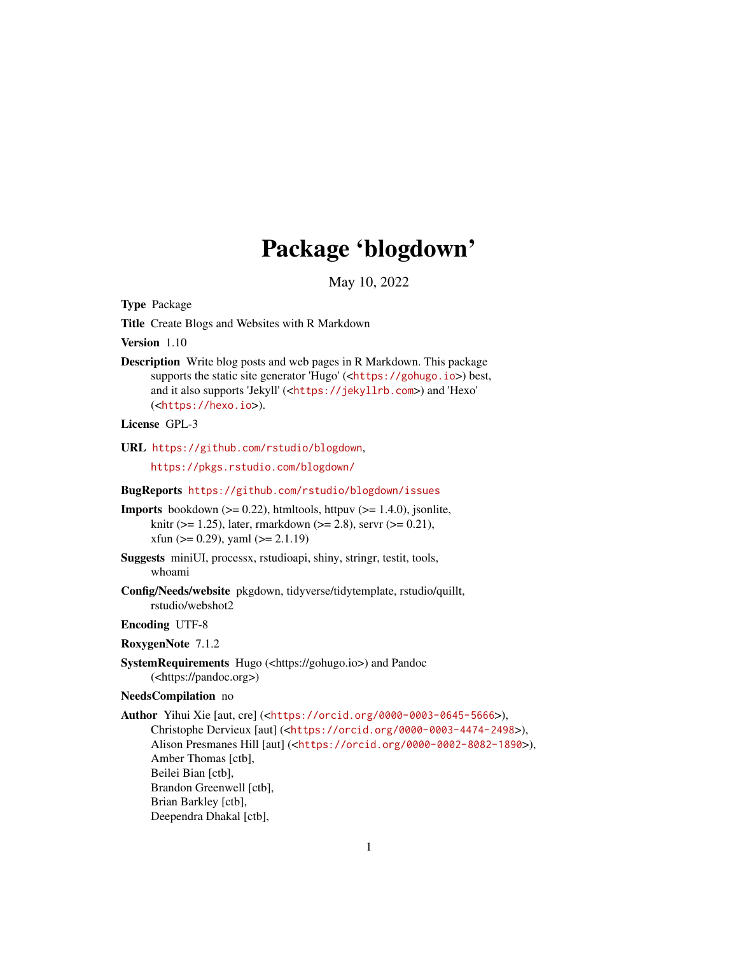# Package 'blogdown'

May 10, 2022

<span id="page-0-0"></span>Type Package

Title Create Blogs and Websites with R Markdown

Version 1.10

Description Write blog posts and web pages in R Markdown. This package supports the static site generator 'Hugo' (<<https://gohugo.io>>) best, and it also supports 'Jekyll' (<<https://jekyllrb.com>>) and 'Hexo' (<<https://hexo.io>>).

# License GPL-3

URL <https://github.com/rstudio/blogdown>,

<https://pkgs.rstudio.com/blogdown/>

BugReports <https://github.com/rstudio/blogdown/issues>

**Imports** bookdown  $(>= 0.22)$ , htmltools, httpuv  $(>= 1.4.0)$ , jsonlite, knitr ( $> = 1.25$ ), later, rmarkdown ( $> = 2.8$ ), servr ( $> = 0.21$ ),  $x$ fun (>= 0.29), yaml (>= 2.1.19)

Suggests miniUI, processx, rstudioapi, shiny, stringr, testit, tools, whoami

Config/Needs/website pkgdown, tidyverse/tidytemplate, rstudio/quillt, rstudio/webshot2

# Encoding UTF-8

RoxygenNote 7.1.2

# SystemRequirements Hugo (<https://gohugo.io>) and Pandoc (<https://pandoc.org>)

# NeedsCompilation no

Author Yihui Xie [aut, cre] (<<https://orcid.org/0000-0003-0645-5666>>), Christophe Dervieux [aut] (<<https://orcid.org/0000-0003-4474-2498>>), Alison Presmanes Hill [aut] (<<https://orcid.org/0000-0002-8082-1890>>), Amber Thomas [ctb], Beilei Bian [ctb], Brandon Greenwell [ctb], Brian Barkley [ctb], Deependra Dhakal [ctb],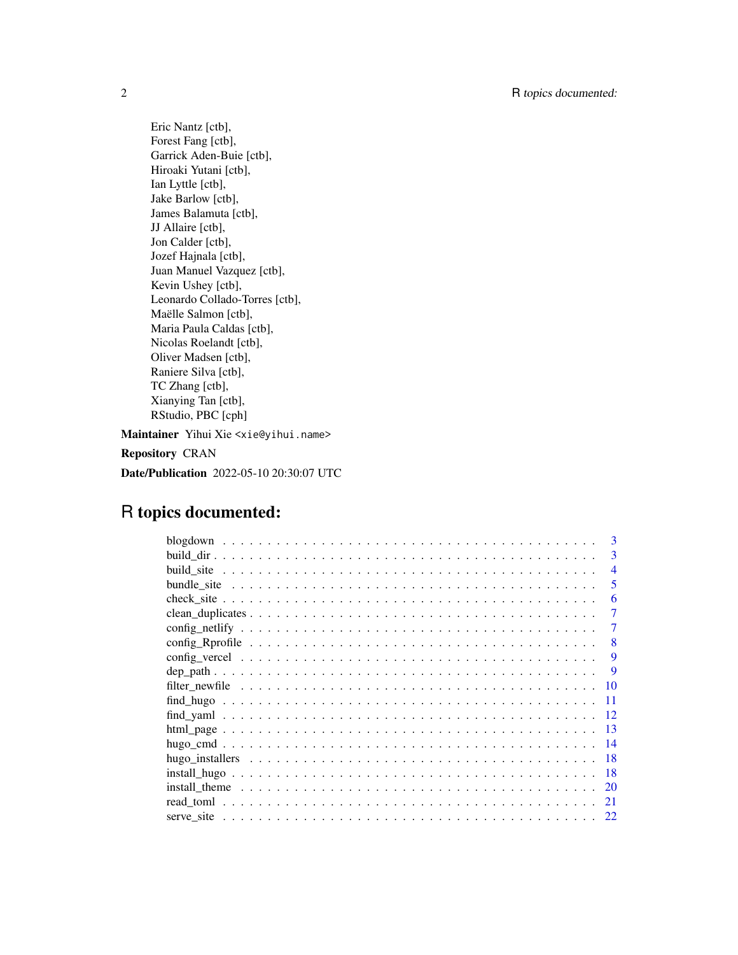Eric Nantz [ctb], Forest Fang [ctb], Garrick Aden-Buie [ctb], Hiroaki Yutani [ctb], Ian Lyttle [ctb], Jake Barlow [ctb], James Balamuta [ctb], JJ Allaire [ctb], Jon Calder [ctb], Jozef Hajnala [ctb], Juan Manuel Vazquez [ctb], Kevin Ushey [ctb], Leonardo Collado-Torres [ctb], Maëlle Salmon [ctb], Maria Paula Caldas [ctb], Nicolas Roelandt [ctb], Oliver Madsen [ctb], Raniere Silva [ctb], TC Zhang [ctb], Xianying Tan [ctb], RStudio, PBC [cph]

Maintainer Yihui Xie <xie@yihui.name> Repository CRAN Date/Publication 2022-05-10 20:30:07 UTC

# R topics documented:

| 3              |
|----------------|
| 3              |
| $\overline{4}$ |
| 5              |
| 6              |
| 7              |
|                |
| 8              |
| 9              |
| 9              |
| 10             |
| 11             |
| 12             |
| 13             |
| -14            |
| -18            |
| 18             |
| <sup>20</sup>  |
|                |
|                |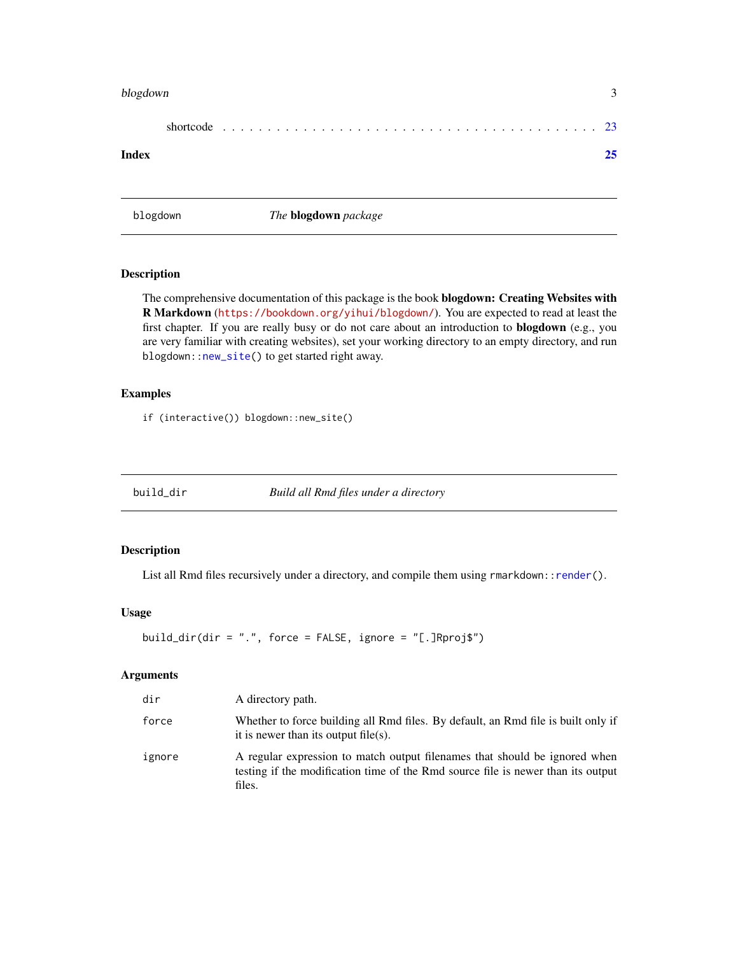#### <span id="page-2-0"></span>blogdown 3

|--|

#### **Index** [25](#page-24-0)

blogdown *The* blogdown *package*

# Description

The comprehensive documentation of this package is the book blogdown: Creating Websites with R Markdown (<https://bookdown.org/yihui/blogdown/>). You are expected to read at least the first chapter. If you are really busy or do not care about an introduction to **blogdown** (e.g., you are very familiar with creating websites), set your working directory to an empty directory, and run blogdown:[:new\\_site\(](#page-13-1)) to get started right away.

# Examples

if (interactive()) blogdown::new\_site()

build\_dir *Build all Rmd files under a directory*

# Description

List all Rmd files recursively under a directory, and compile them using rmarkdown:[:render\(](#page-0-0)).

# Usage

```
build_dir(dir = ".", force = FALSE, ignore = "[.]Rproj$")
```
# Arguments

| dir    | A directory path.                                                                                                                                                        |
|--------|--------------------------------------------------------------------------------------------------------------------------------------------------------------------------|
| force  | Whether to force building all Rmd files. By default, an Rmd file is built only if<br>it is newer than its output file(s).                                                |
| ignore | A regular expression to match output filenames that should be ignored when<br>testing if the modification time of the Rmd source file is newer than its output<br>files. |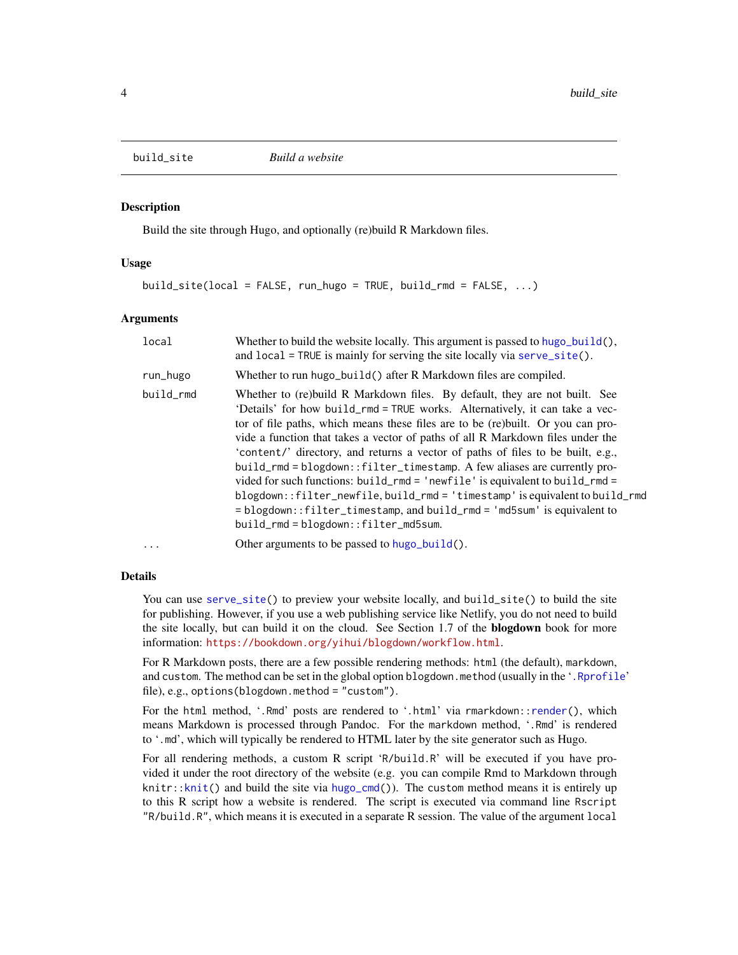<span id="page-3-1"></span><span id="page-3-0"></span>

Build the site through Hugo, and optionally (re)build R Markdown files.

#### Usage

build\_site(local = FALSE, run\_hugo = TRUE, build\_rmd = FALSE, ...)

# Arguments

| local     | Whether to build the website locally. This argument is passed to hugo_build(),<br>and local = TRUE is mainly for serving the site locally via serve_site().                                                                                                                                                                                                                                                                                                                                                                                                                                                                                                                                                                                                                   |
|-----------|-------------------------------------------------------------------------------------------------------------------------------------------------------------------------------------------------------------------------------------------------------------------------------------------------------------------------------------------------------------------------------------------------------------------------------------------------------------------------------------------------------------------------------------------------------------------------------------------------------------------------------------------------------------------------------------------------------------------------------------------------------------------------------|
| run_hugo  | Whether to run hugo_build() after R Markdown files are compiled.                                                                                                                                                                                                                                                                                                                                                                                                                                                                                                                                                                                                                                                                                                              |
| build_rmd | Whether to (re)build R Markdown files. By default, they are not built. See<br>'Details' for how build_rmd = TRUE works. Alternatively, it can take a vec-<br>tor of file paths, which means these files are to be (re)built. Or you can pro-<br>vide a function that takes a vector of paths of all R Markdown files under the<br>'content/' directory, and returns a vector of paths of files to be built, e.g.,<br>build_rmd = blogdown::filter_timestamp. A few aliases are currently pro-<br>vided for such functions: build_rmd = 'newfile' is equivalent to build_rmd =<br>blogdown::filter_newfile,build_rmd = 'timestamp' is equivalent to build_rmd<br>= blogdown::filter_timestamp, and build_rmd = 'md5sum' is equivalent to<br>build_rmd=blogdown::filter_md5sum. |
| $\cdots$  | Other arguments to be passed to hugo_build().                                                                                                                                                                                                                                                                                                                                                                                                                                                                                                                                                                                                                                                                                                                                 |

# Details

You can use [serve\\_site\(](#page-21-1)) to preview your website locally, and build\_site() to build the site for publishing. However, if you use a web publishing service like Netlify, you do not need to build the site locally, but can build it on the cloud. See Section 1.7 of the blogdown book for more information: <https://bookdown.org/yihui/blogdown/workflow.html>.

For R Markdown posts, there are a few possible rendering methods: html (the default), markdown, and custom. The method can be set in the global option blogdown.method (usually in the '[.Rprofile](#page-0-0)' file), e.g., options(blogdown.method = "custom").

For the html method, '.Rmd' posts are rendered to '.html' via rmarkdown:[:render\(](#page-0-0)), which means Markdown is processed through Pandoc. For the markdown method, '.Rmd' is rendered to '.md', which will typically be rendered to HTML later by the site generator such as Hugo.

For all rendering methods, a custom R script 'R/build.R' will be executed if you have provided it under the root directory of the website (e.g. you can compile Rmd to Markdown through knitr:[:knit\(](#page-0-0)) and build the site via [hugo\\_cmd\(](#page-13-2))). The custom method means it is entirely up to this R script how a website is rendered. The script is executed via command line Rscript "R/build.R", which means it is executed in a separate R session. The value of the argument local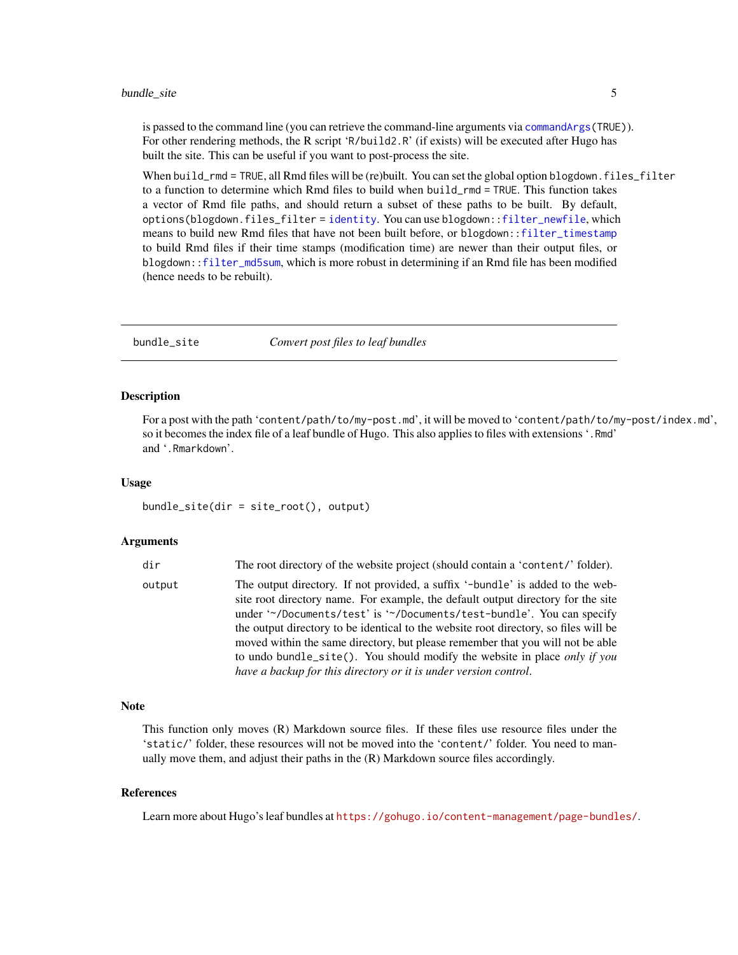<span id="page-4-0"></span>is passed to the command line (you can retrieve the command-line arguments via [commandArgs\(](#page-0-0)TRUE)). For other rendering methods, the R script 'R/build2.R' (if exists) will be executed after Hugo has built the site. This can be useful if you want to post-process the site.

When build\_rmd = TRUE, all Rmd files will be (re)built. You can set the global option blogdown.files\_filter to a function to determine which Rmd files to build when build\_rmd = TRUE. This function takes a vector of Rmd file paths, and should return a subset of these paths to be built. By default, options(blogdown.files\_filter = [identity](#page-0-0). You can use blogdown:[:filter\\_newfile](#page-9-1), which means to build new Rmd files that have not been built before, or blogdown:[:filter\\_timestamp](#page-9-2) to build Rmd files if their time stamps (modification time) are newer than their output files, or blogdown:[:filter\\_md5sum](#page-9-2), which is more robust in determining if an Rmd file has been modified (hence needs to be rebuilt).

bundle\_site *Convert post files to leaf bundles*

# Description

For a post with the path 'content/path/to/my-post.md', it will be moved to 'content/path/to/my-post/index.md', so it becomes the index file of a leaf bundle of Hugo. This also applies to files with extensions '.Rmd' and '.Rmarkdown'.

#### Usage

bundle\_site(dir = site\_root(), output)

# Arguments

| dir    | The root directory of the website project (should contain a 'content/' folder).                                                                                                                                                                                                                                                                                                                                                                                                                                                                                              |
|--------|------------------------------------------------------------------------------------------------------------------------------------------------------------------------------------------------------------------------------------------------------------------------------------------------------------------------------------------------------------------------------------------------------------------------------------------------------------------------------------------------------------------------------------------------------------------------------|
| output | The output directory. If not provided, a suffix '-bundle' is added to the web-<br>site root directory name. For example, the default output directory for the site<br>under "/Documents/test' is "/Documents/test-bundle'. You can specify<br>the output directory to be identical to the website root directory, so files will be<br>moved within the same directory, but please remember that you will not be able<br>to undo bundle_site(). You should modify the website in place <i>only if you</i><br>have a backup for this directory or it is under version control. |
|        |                                                                                                                                                                                                                                                                                                                                                                                                                                                                                                                                                                              |

#### Note

This function only moves (R) Markdown source files. If these files use resource files under the 'static/' folder, these resources will not be moved into the 'content/' folder. You need to manually move them, and adjust their paths in the (R) Markdown source files accordingly.

# References

Learn more about Hugo's leaf bundles at <https://gohugo.io/content-management/page-bundles/>.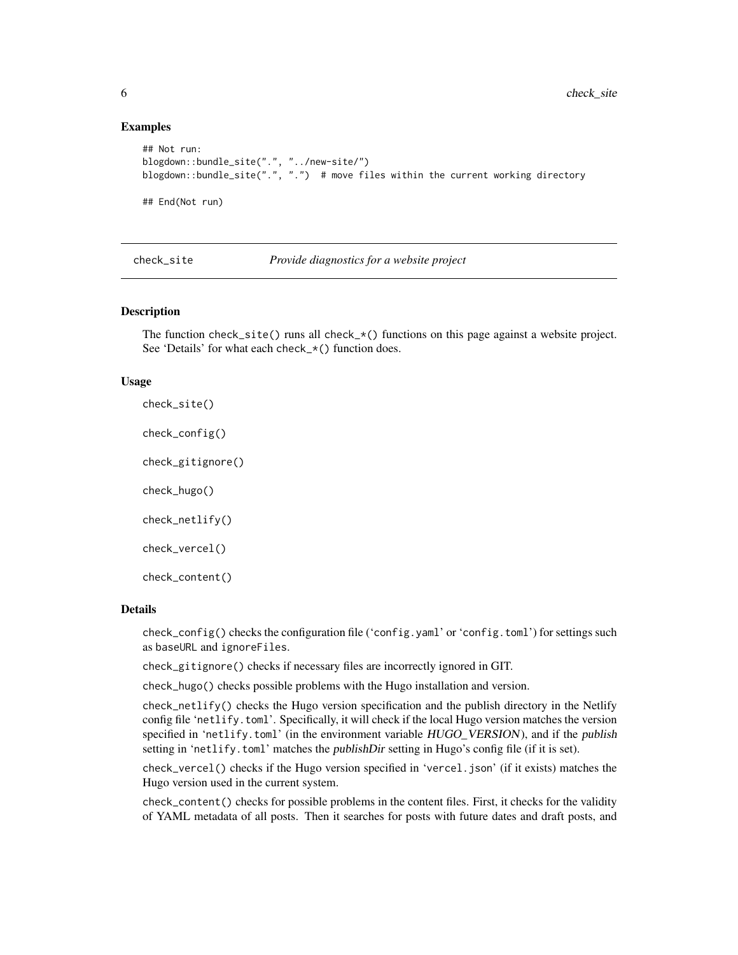# Examples

```
## Not run:
blogdown::bundle_site(".", "../new-site/")
blogdown::bundle_site(".", ".") # move files within the current working directory
## End(Not run)
```
check\_site *Provide diagnostics for a website project*

# Description

The function check\_site() runs all check\_ $*($ ) functions on this page against a website project. See 'Details' for what each check\_\*() function does.

#### Usage

check\_site()

check\_config()

check\_gitignore()

check\_hugo()

check\_netlify()

check\_vercel()

check\_content()

# Details

check\_config() checks the configuration file ('config.yaml' or 'config.toml') for settings such as baseURL and ignoreFiles.

check\_gitignore() checks if necessary files are incorrectly ignored in GIT.

check\_hugo() checks possible problems with the Hugo installation and version.

check\_netlify() checks the Hugo version specification and the publish directory in the Netlify config file 'netlify.toml'. Specifically, it will check if the local Hugo version matches the version specified in 'netlify.toml' (in the environment variable HUGO\_VERSION), and if the publish setting in 'netlify.toml' matches the publishDir setting in Hugo's config file (if it is set).

check\_vercel() checks if the Hugo version specified in 'vercel.json' (if it exists) matches the Hugo version used in the current system.

check\_content() checks for possible problems in the content files. First, it checks for the validity of YAML metadata of all posts. Then it searches for posts with future dates and draft posts, and

<span id="page-5-0"></span>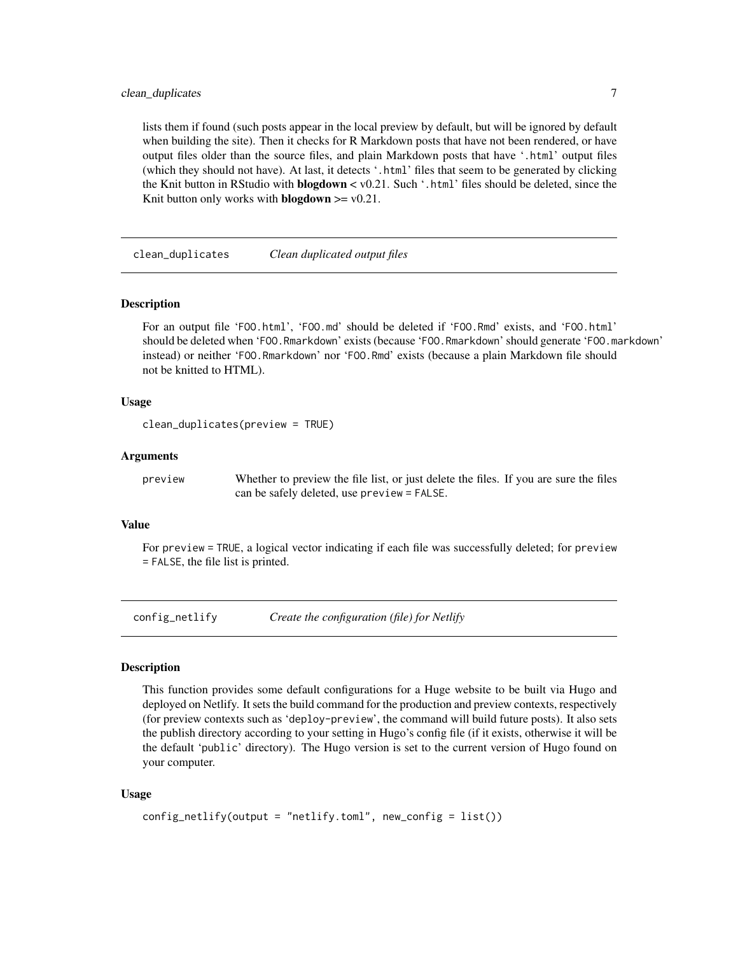# <span id="page-6-0"></span>clean\_duplicates 7

lists them if found (such posts appear in the local preview by default, but will be ignored by default when building the site). Then it checks for R Markdown posts that have not been rendered, or have output files older than the source files, and plain Markdown posts that have '.html' output files (which they should not have). At last, it detects '.html' files that seem to be generated by clicking the Knit button in RStudio with **blogdown**  $\lt$  v0.21. Such '.html' files should be deleted, since the Knit button only works with **blogdown**  $>= v0.21$ .

clean\_duplicates *Clean duplicated output files*

#### Description

For an output file 'FOO.html', 'FOO.md' should be deleted if 'FOO.Rmd' exists, and 'FOO.html' should be deleted when 'FOO.Rmarkdown' exists (because 'FOO.Rmarkdown' should generate 'FOO.markdown' instead) or neither 'FOO.Rmarkdown' nor 'FOO.Rmd' exists (because a plain Markdown file should not be knitted to HTML).

#### Usage

```
clean_duplicates(preview = TRUE)
```
# Arguments

preview Whether to preview the file list, or just delete the files. If you are sure the files can be safely deleted, use preview = FALSE.

# Value

For preview = TRUE, a logical vector indicating if each file was successfully deleted; for preview = FALSE, the file list is printed.

config\_netlify *Create the configuration (file) for Netlify*

#### Description

This function provides some default configurations for a Huge website to be built via Hugo and deployed on Netlify. It sets the build command for the production and preview contexts, respectively (for preview contexts such as 'deploy-preview', the command will build future posts). It also sets the publish directory according to your setting in Hugo's config file (if it exists, otherwise it will be the default 'public' directory). The Hugo version is set to the current version of Hugo found on your computer.

# Usage

```
config_netlify(output = "netlify.toml", new_config = list())
```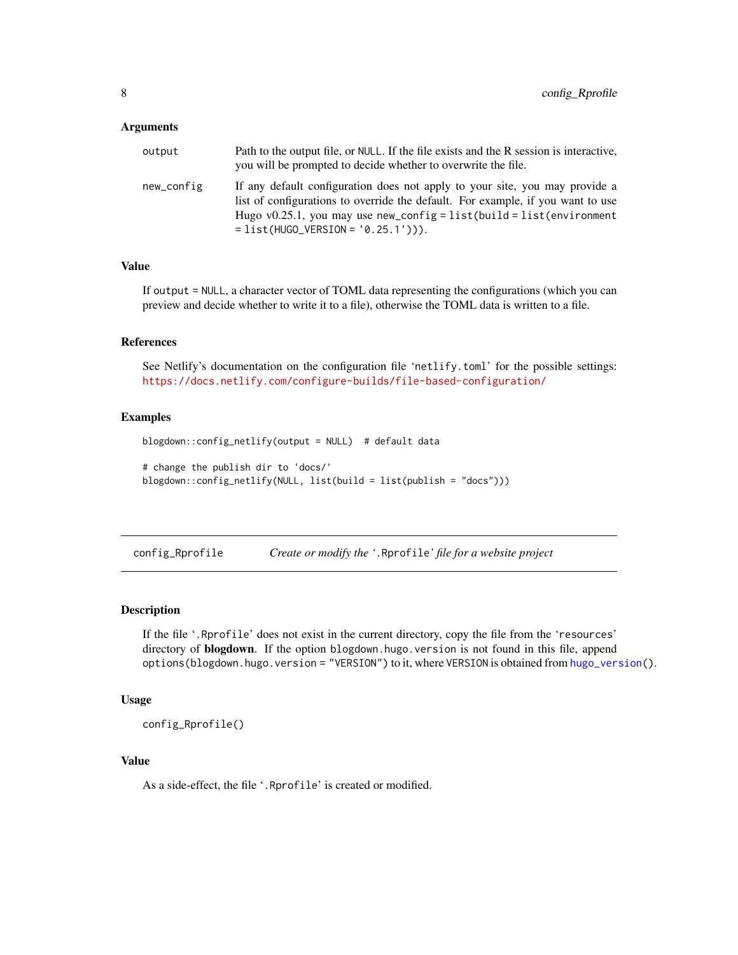#### <span id="page-7-0"></span>**Arguments**

| output     | Path to the output file, or NULL. If the file exists and the R session is interactive,<br>you will be prompted to decide whether to overwrite the file.                                                                                                                           |
|------------|-----------------------------------------------------------------------------------------------------------------------------------------------------------------------------------------------------------------------------------------------------------------------------------|
| new_config | If any default configuration does not apply to your site, you may provide a<br>list of configurations to override the default. For example, if you want to use<br>Hugo $v0.25.1$ , you may use new_config = list(build = list(environment<br>$= list(HUGO_VERSION = '0.25.1'))$ . |

# Value

If output = NULL, a character vector of TOML data representing the configurations (which you can preview and decide whether to write it to a file), otherwise the TOML data is written to a file.

# References

See Netlify's documentation on the configuration file 'netlify.toml' for the possible settings: <https://docs.netlify.com/configure-builds/file-based-configuration/>

# Examples

```
blogdown::config_netlify(output = NULL) # default data
# change the publish dir to 'docs/'
blogdown::config_netlify(NULL, list(build = list(publish = "docs")))
```
<span id="page-7-1"></span>config\_Rprofile *Create or modify the '*.Rprofile*' file for a website project*

# Description

If the file '.Rprofile' does not exist in the current directory, copy the file from the 'resources' directory of **blogdown**. If the option blogdown.hugo.version is not found in this file, append options(blogdown.hugo.version = "VERSION") to it, where VERSION is obtained from [hugo\\_version\(](#page-13-1)).

# Usage

config\_Rprofile()

# Value

As a side-effect, the file '.Rprofile' is created or modified.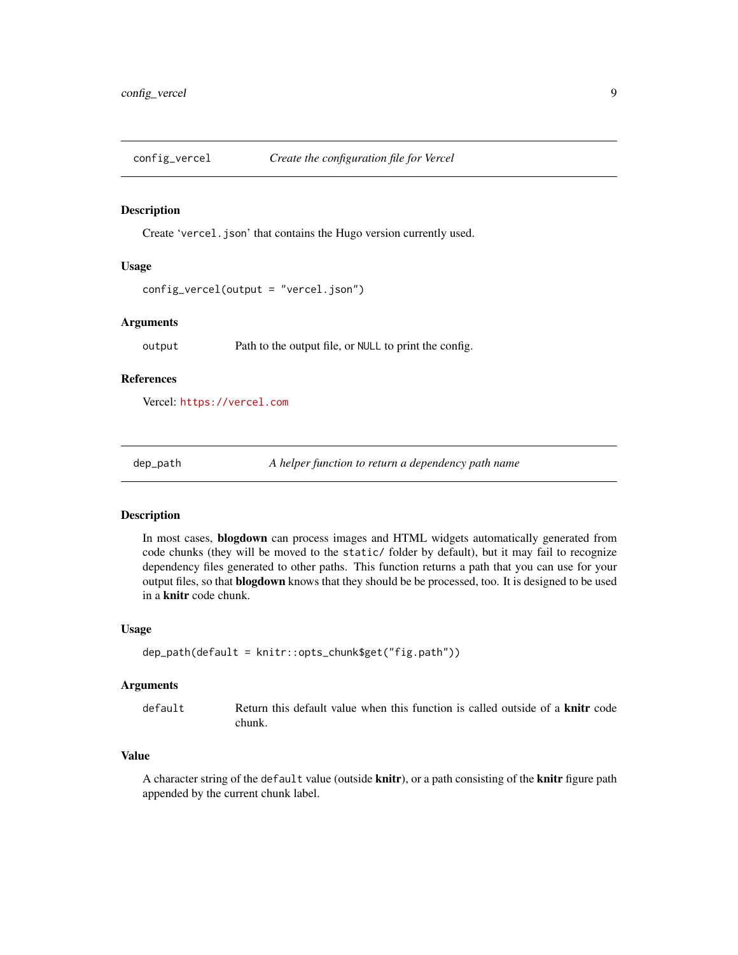<span id="page-8-0"></span>

Create 'vercel.json' that contains the Hugo version currently used.

# Usage

```
config_vercel(output = "vercel.json")
```
# Arguments

output Path to the output file, or NULL to print the config.

# References

Vercel: <https://vercel.com>

dep\_path *A helper function to return a dependency path name*

# Description

In most cases, blogdown can process images and HTML widgets automatically generated from code chunks (they will be moved to the static/ folder by default), but it may fail to recognize dependency files generated to other paths. This function returns a path that you can use for your output files, so that blogdown knows that they should be be processed, too. It is designed to be used in a knitr code chunk.

#### Usage

```
dep_path(default = knitr::opts_chunk$get("fig.path"))
```
# Arguments

| default |        |  |  | Return this default value when this function is called outside of a <b>knitr</b> code |  |  |  |  |
|---------|--------|--|--|---------------------------------------------------------------------------------------|--|--|--|--|
|         | chunk. |  |  |                                                                                       |  |  |  |  |

# Value

A character string of the default value (outside knitr), or a path consisting of the knitr figure path appended by the current chunk label.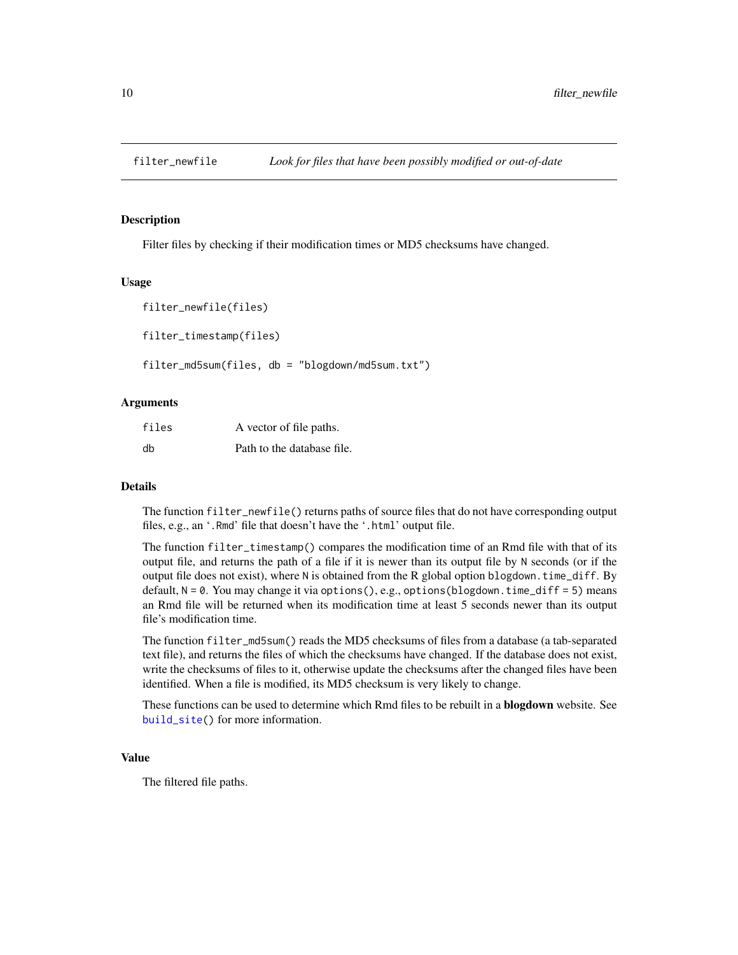<span id="page-9-2"></span><span id="page-9-1"></span><span id="page-9-0"></span>

Filter files by checking if their modification times or MD5 checksums have changed.

#### Usage

```
filter_newfile(files)
filter_timestamp(files)
```
filter\_md5sum(files, db = "blogdown/md5sum.txt")

# Arguments

| files | A vector of file paths.    |
|-------|----------------------------|
| db    | Path to the database file. |

### Details

The function filter\_newfile() returns paths of source files that do not have corresponding output files, e.g., an '.Rmd' file that doesn't have the '.html' output file.

The function filter\_timestamp() compares the modification time of an Rmd file with that of its output file, and returns the path of a file if it is newer than its output file by N seconds (or if the output file does not exist), where N is obtained from the R global option blogdown.time\_diff. By default, N = 0. You may change it via options(), e.g., options(blogdown.time\_diff = 5) means an Rmd file will be returned when its modification time at least 5 seconds newer than its output file's modification time.

The function filter\_md5sum() reads the MD5 checksums of files from a database (a tab-separated text file), and returns the files of which the checksums have changed. If the database does not exist, write the checksums of files to it, otherwise update the checksums after the changed files have been identified. When a file is modified, its MD5 checksum is very likely to change.

These functions can be used to determine which Rmd files to be rebuilt in a **blogdown** website. See [build\\_site\(](#page-3-1)) for more information.

# Value

The filtered file paths.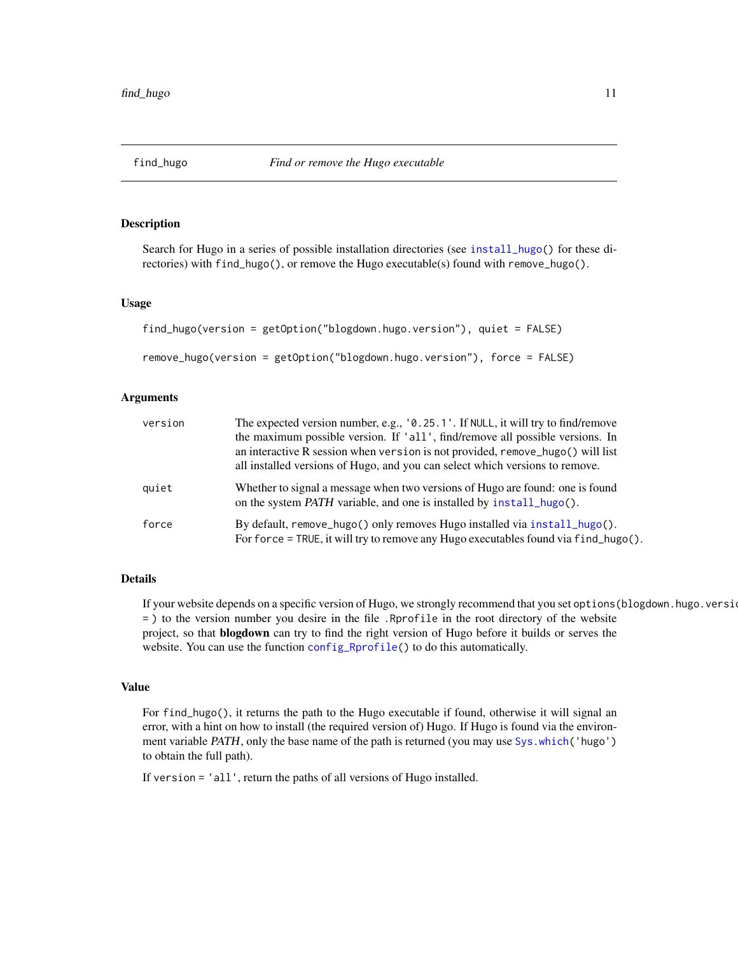<span id="page-10-1"></span><span id="page-10-0"></span>

Search for Hugo in a series of possible installation directories (see [install\\_hugo\(](#page-17-1)) for these directories) with find\_hugo(), or remove the Hugo executable(s) found with remove\_hugo().

# Usage

```
find_hugo(version = getOption("blogdown.hugo.version"), quiet = FALSE)
```

```
remove_hugo(version = getOption("blogdown.hugo.version"), force = FALSE)
```
# Arguments

| version | The expected version number, e.g., '0.25.1'. If NULL, it will try to find/remove<br>the maximum possible version. If 'all', find/remove all possible versions. In<br>an interactive R session when version is not provided, remove_hugo() will list<br>all installed versions of Hugo, and you can select which versions to remove. |
|---------|-------------------------------------------------------------------------------------------------------------------------------------------------------------------------------------------------------------------------------------------------------------------------------------------------------------------------------------|
| quiet   | Whether to signal a message when two versions of Hugo are found: one is found<br>on the system <i>PATH</i> variable, and one is installed by <b>install_hugo</b> ().                                                                                                                                                                |
| force   | By default, remove_hugo() only removes Hugo installed via install_hugo().<br>For force = TRUE, it will try to remove any Hugo executables found via find_hugo().                                                                                                                                                                    |

# Details

If your website depends on a specific version of Hugo, we strongly recommend that you set options(blogdown.hugo.version = ) to the version number you desire in the file .Rprofile in the root directory of the website project, so that blogdown can try to find the right version of Hugo before it builds or serves the website. You can use the function [config\\_Rprofile\(](#page-7-1)) to do this automatically.

#### Value

For find\_hugo(), it returns the path to the Hugo executable if found, otherwise it will signal an error, with a hint on how to install (the required version of) Hugo. If Hugo is found via the environ-ment variable PATH, only the base name of the path is returned (you may use [Sys.which\(](#page-0-0)'hugo') to obtain the full path).

If version = 'all', return the paths of all versions of Hugo installed.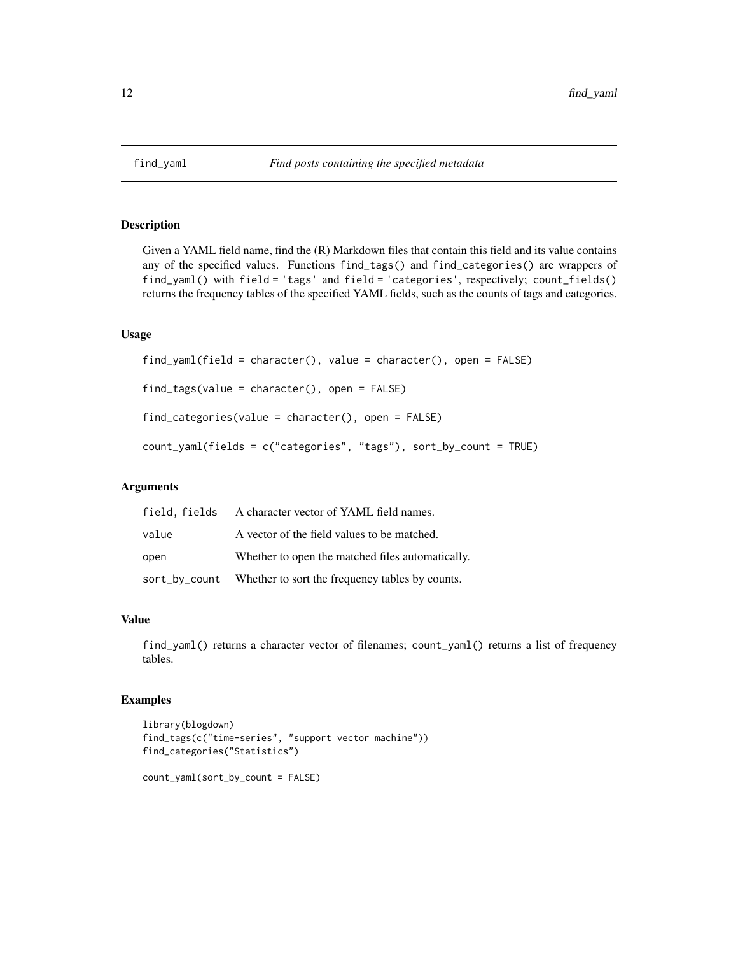<span id="page-11-0"></span>

Given a YAML field name, find the (R) Markdown files that contain this field and its value contains any of the specified values. Functions find\_tags() and find\_categories() are wrappers of find\_yaml() with field = 'tags' and field = 'categories', respectively; count\_fields() returns the frequency tables of the specified YAML fields, such as the counts of tags and categories.

#### Usage

```
find_yaml(field = character(), value = character(), open = FALSE)
find_tags(value = character(), open = FALSE)
find_categories(value = character(), open = FALSE)
count_yaml(fields = c("categories", "tags"), sort_by_count = TRUE)
```
# Arguments

|       | field, fields A character vector of YAML field names.         |
|-------|---------------------------------------------------------------|
| value | A vector of the field values to be matched.                   |
| open  | Whether to open the matched files automatically.              |
|       | sort_by_count Whether to sort the frequency tables by counts. |

# Value

find\_yaml() returns a character vector of filenames; count\_yaml() returns a list of frequency tables.

# Examples

```
library(blogdown)
find_tags(c("time-series", "support vector machine"))
find_categories("Statistics")
count_yaml(sort_by_count = FALSE)
```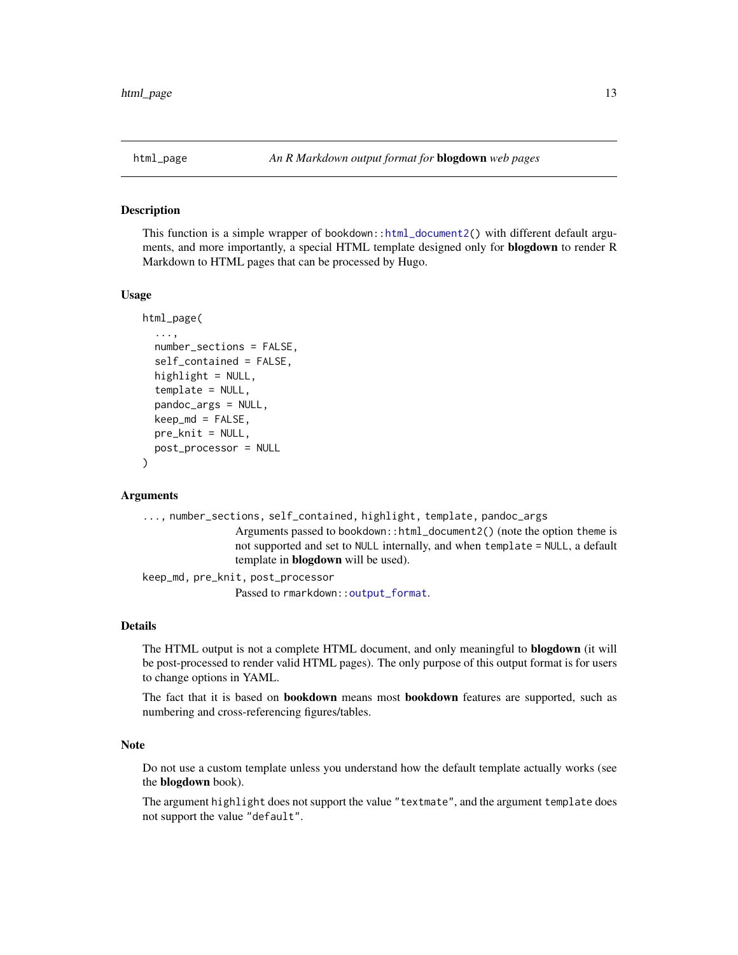<span id="page-12-0"></span>

This function is a simple wrapper of bookdown:[:html\\_document2\(](#page-0-0)) with different default arguments, and more importantly, a special HTML template designed only for blogdown to render R Markdown to HTML pages that can be processed by Hugo.

#### Usage

```
html_page(
  ...,
  number_sections = FALSE,
  self_contained = FALSE,
  highlight = NULL,
  template = NULL,
  pandoc_args = NULL,
  keep\_md = FALSE,pre_knit = NULL,
  post_processor = NULL
)
```
# **Arguments**

```
..., number_sections, self_contained, highlight, template, pandoc_args
                 Arguments passed to bookdown::html_document2() (note the option theme is
                 not supported and set to NULL internally, and when template = NULL, a default
                 template in blogdown will be used).
keep_md, pre_knit, post_processor
```
Passed to rmarkdown:: output\_format.

# Details

The HTML output is not a complete HTML document, and only meaningful to **blogdown** (it will be post-processed to render valid HTML pages). The only purpose of this output format is for users to change options in YAML.

The fact that it is based on bookdown means most bookdown features are supported, such as numbering and cross-referencing figures/tables.

#### Note

Do not use a custom template unless you understand how the default template actually works (see the blogdown book).

The argument highlight does not support the value "textmate", and the argument template does not support the value "default".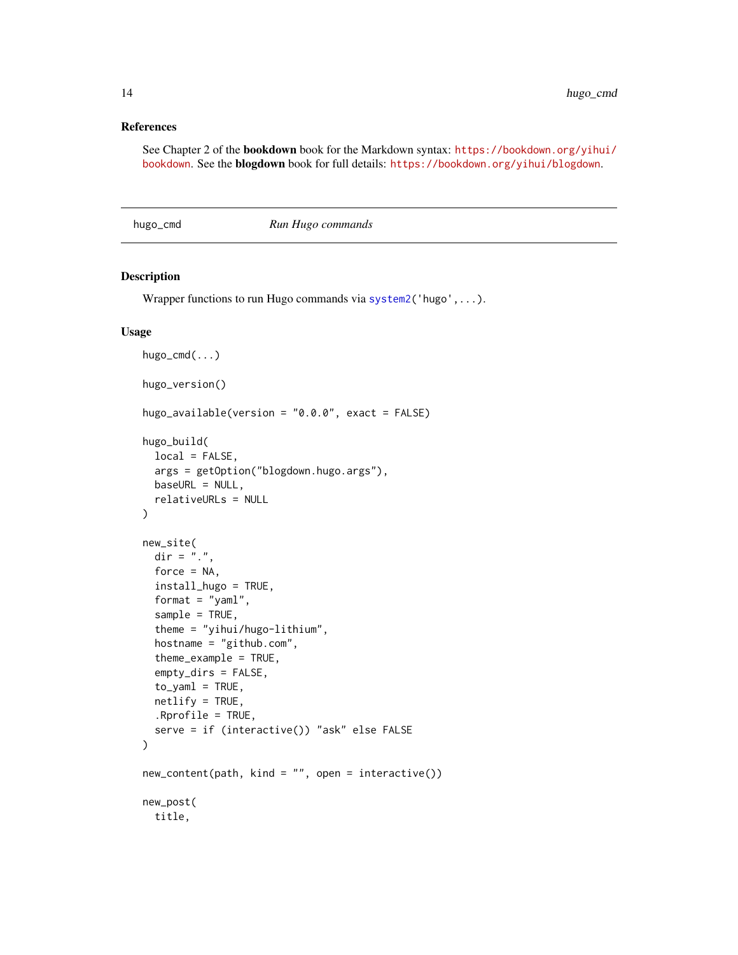# <span id="page-13-0"></span>References

See Chapter 2 of the bookdown book for the Markdown syntax: [https://bookdown.org/yihui/](https://bookdown.org/yihui/bookdown) [bookdown](https://bookdown.org/yihui/bookdown). See the blogdown book for full details: <https://bookdown.org/yihui/blogdown>.

<span id="page-13-2"></span>hugo\_cmd *Run Hugo commands*

# <span id="page-13-1"></span>Description

Wrapper functions to run Hugo commands via [system2\(](#page-0-0)'hugo',...).

# Usage

```
hugo_cmd(...)
hugo_version()
hugo_available(version = "0.0.0", exact = FALSE)
hugo_build(
  local = FALSE,
  args = getOption("blogdown.hugo.args"),
 baseURL = NULL,
  relativeURLs = NULL
)
new_site(
  \text{dir} = "."force = NA,
  install_hugo = TRUE,
  format = "yam1",sample = TRUE,
  theme = "yihui/hugo-lithium",
  hostname = "github.com",
  theme_example = TRUE,
  empty_dirs = FALSE,
  to\_yam1 = TRUE,netlify = TRUE,
  .Rprofile = TRUE,
  serve = if (interactive()) "ask" else FALSE
)
new_content(path, kind = "", open = interactive())
new_post(
  title,
```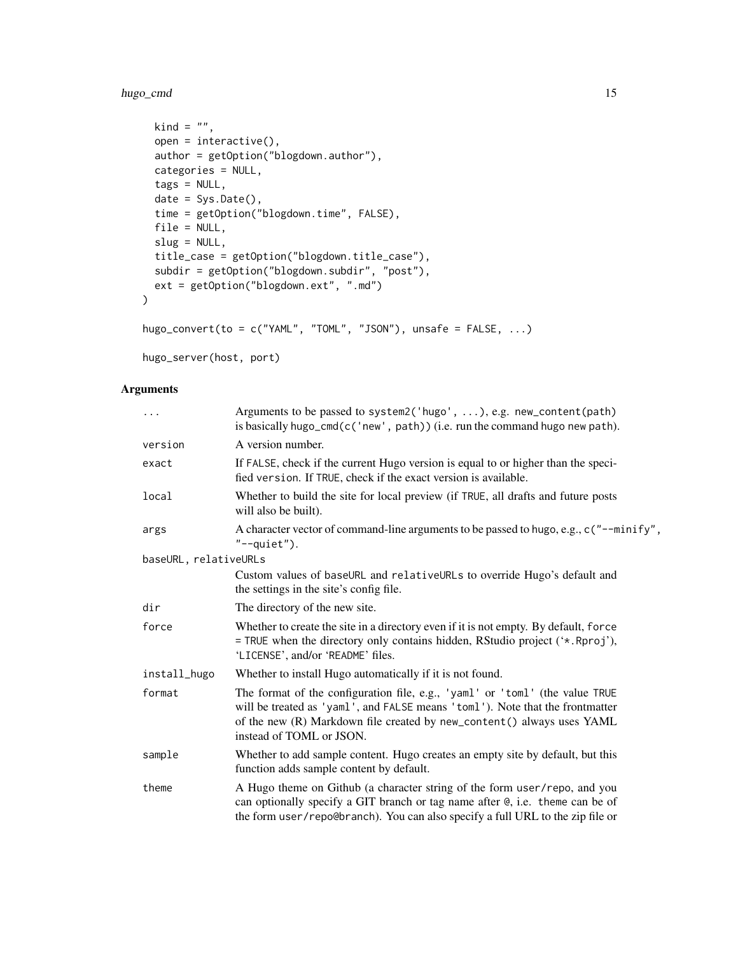# hugo\_cmd 15

```
kind = ",
 open = interactive(),
 author = getOption("blogdown.author"),
 categories = NULL,
 tags = NULL,
 date = Sys.Date(),
 time = getOption("blogdown.time", FALSE),
 file = NULL,
 slug = NULL,title_case = getOption("blogdown.title_case"),
 subdir = getOption("blogdown.subdir", "post"),
 ext = getOption("blogdown.ext", ".md")
)
hugo_convert(to = c("YAML", "TOML", "JSON"), unsafe = FALSE, ...)
```
hugo\_server(host, port)

# Arguments

| $\ddots$              | Arguments to be passed to system2('hugo', ), e.g. new_content(path)<br>is basically hugo_cmd(c('new', path)) (i.e. run the command hugo new path).                                                                                                                  |  |  |  |  |
|-----------------------|---------------------------------------------------------------------------------------------------------------------------------------------------------------------------------------------------------------------------------------------------------------------|--|--|--|--|
| version               | A version number.                                                                                                                                                                                                                                                   |  |  |  |  |
| exact                 | If FALSE, check if the current Hugo version is equal to or higher than the speci-<br>fied version. If TRUE, check if the exact version is available.                                                                                                                |  |  |  |  |
| local                 | Whether to build the site for local preview (if TRUE, all drafts and future posts<br>will also be built).                                                                                                                                                           |  |  |  |  |
| args                  | A character vector of command-line arguments to be passed to hugo, e.g., $c$ ("--minify",<br>$"$ --quiet").                                                                                                                                                         |  |  |  |  |
| baseURL, relativeURLs |                                                                                                                                                                                                                                                                     |  |  |  |  |
|                       | Custom values of baseURL and relativeURLs to override Hugo's default and<br>the settings in the site's config file.                                                                                                                                                 |  |  |  |  |
| dir                   | The directory of the new site.                                                                                                                                                                                                                                      |  |  |  |  |
| force                 | Whether to create the site in a directory even if it is not empty. By default, force<br>= TRUE when the directory only contains hidden, RStudio project ('*. Rproj'),<br>'LICENSE', and/or 'README' files.                                                          |  |  |  |  |
| install_hugo          | Whether to install Hugo automatically if it is not found.                                                                                                                                                                                                           |  |  |  |  |
| format                | The format of the configuration file, e.g., 'yaml' or 'toml' (the value TRUE<br>will be treated as 'yaml', and FALSE means 'toml'). Note that the frontmatter<br>of the new (R) Markdown file created by new_content() always uses YAML<br>instead of TOML or JSON. |  |  |  |  |
| sample                | Whether to add sample content. Hugo creates an empty site by default, but this<br>function adds sample content by default.                                                                                                                                          |  |  |  |  |
| theme                 | A Hugo theme on Github (a character string of the form user/repo, and you<br>can optionally specify a GIT branch or tag name after @, i.e. theme can be of<br>the form user/repo@branch). You can also specify a full URL to the zip file or                        |  |  |  |  |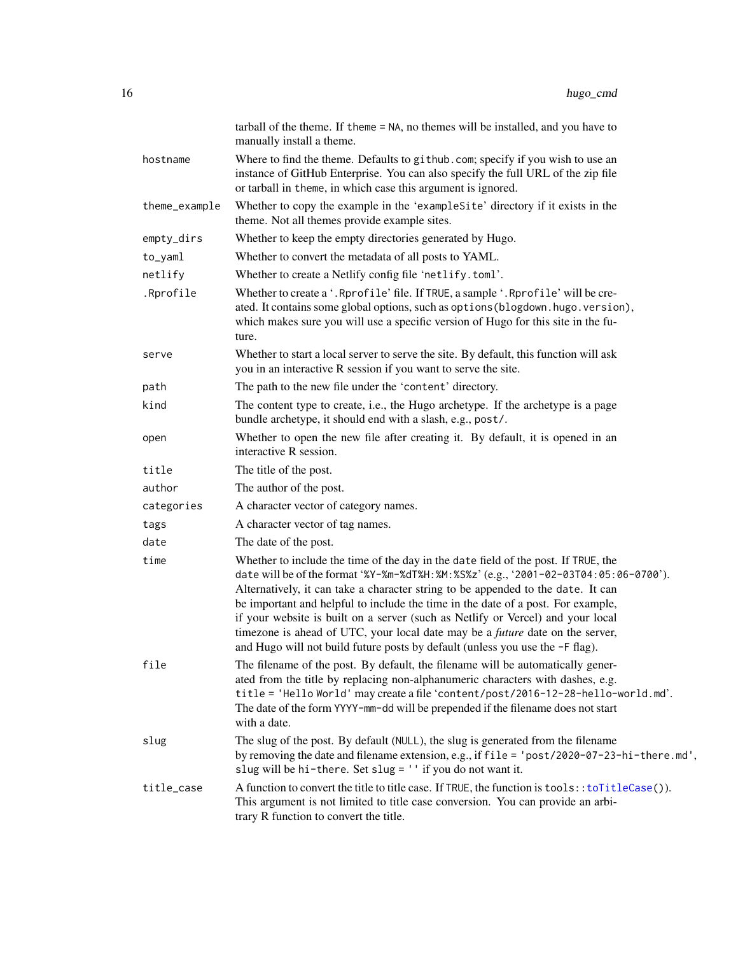<span id="page-15-0"></span>

|               | tarball of the theme. If theme = NA, no themes will be installed, and you have to<br>manually install a theme.                                                                                                                                                                                                                                                                                                                                                                                                                                                                                                     |
|---------------|--------------------------------------------------------------------------------------------------------------------------------------------------------------------------------------------------------------------------------------------------------------------------------------------------------------------------------------------------------------------------------------------------------------------------------------------------------------------------------------------------------------------------------------------------------------------------------------------------------------------|
| hostname      | Where to find the theme. Defaults to github.com; specify if you wish to use an<br>instance of GitHub Enterprise. You can also specify the full URL of the zip file<br>or tarball in theme, in which case this argument is ignored.                                                                                                                                                                                                                                                                                                                                                                                 |
| theme_example | Whether to copy the example in the 'exampleSite' directory if it exists in the<br>theme. Not all themes provide example sites.                                                                                                                                                                                                                                                                                                                                                                                                                                                                                     |
| empty_dirs    | Whether to keep the empty directories generated by Hugo.                                                                                                                                                                                                                                                                                                                                                                                                                                                                                                                                                           |
| $to_y$ aml    | Whether to convert the metadata of all posts to YAML.                                                                                                                                                                                                                                                                                                                                                                                                                                                                                                                                                              |
| netlify       | Whether to create a Netlify config file 'netlify.toml'.                                                                                                                                                                                                                                                                                                                                                                                                                                                                                                                                                            |
| .Rprofile     | Whether to create a '. Rprofile' file. If TRUE, a sample '. Rprofile' will be cre-<br>ated. It contains some global options, such as options (blogdown.hugo.version),<br>which makes sure you will use a specific version of Hugo for this site in the fu-<br>ture.                                                                                                                                                                                                                                                                                                                                                |
| serve         | Whether to start a local server to serve the site. By default, this function will ask<br>you in an interactive R session if you want to serve the site.                                                                                                                                                                                                                                                                                                                                                                                                                                                            |
| path          | The path to the new file under the 'content' directory.                                                                                                                                                                                                                                                                                                                                                                                                                                                                                                                                                            |
| kind          | The content type to create, i.e., the Hugo archetype. If the archetype is a page<br>bundle archetype, it should end with a slash, e.g., post/.                                                                                                                                                                                                                                                                                                                                                                                                                                                                     |
| open          | Whether to open the new file after creating it. By default, it is opened in an<br>interactive R session.                                                                                                                                                                                                                                                                                                                                                                                                                                                                                                           |
| title         | The title of the post.                                                                                                                                                                                                                                                                                                                                                                                                                                                                                                                                                                                             |
| author        | The author of the post.                                                                                                                                                                                                                                                                                                                                                                                                                                                                                                                                                                                            |
| categories    | A character vector of category names.                                                                                                                                                                                                                                                                                                                                                                                                                                                                                                                                                                              |
| tags          | A character vector of tag names.                                                                                                                                                                                                                                                                                                                                                                                                                                                                                                                                                                                   |
| date          | The date of the post.                                                                                                                                                                                                                                                                                                                                                                                                                                                                                                                                                                                              |
| time          | Whether to include the time of the day in the date field of the post. If TRUE, the<br>date will be of the format '%Y-%m-%dT%H: %M: %S%z' (e.g., '2001-02-03T04: 05: 06-0700').<br>Alternatively, it can take a character string to be appended to the date. It can<br>be important and helpful to include the time in the date of a post. For example,<br>if your website is built on a server (such as Netlify or Vercel) and your local<br>timezone is ahead of UTC, your local date may be a <i>future</i> date on the server,<br>and Hugo will not build future posts by default (unless you use the -F flag). |
| file          | The filename of the post. By default, the filename will be automatically gener-<br>ated from the title by replacing non-alphanumeric characters with dashes, e.g.<br>title = 'Hello World' may create a file 'content/post/2016-12-28-hello-world.md'.<br>The date of the form YYYY-mm-dd will be prepended if the filename does not start<br>with a date.                                                                                                                                                                                                                                                         |
| slug          | The slug of the post. By default (NULL), the slug is generated from the filename<br>by removing the date and filename extension, e.g., if file = 'post/2020-07-23-hi-there.md',<br>slug will be hi-there. Set slug = '' if you do not want it.                                                                                                                                                                                                                                                                                                                                                                     |
| title_case    | A function to convert the title to title case. If TRUE, the function is tools:: toTitleCase()).<br>This argument is not limited to title case conversion. You can provide an arbi-<br>trary R function to convert the title.                                                                                                                                                                                                                                                                                                                                                                                       |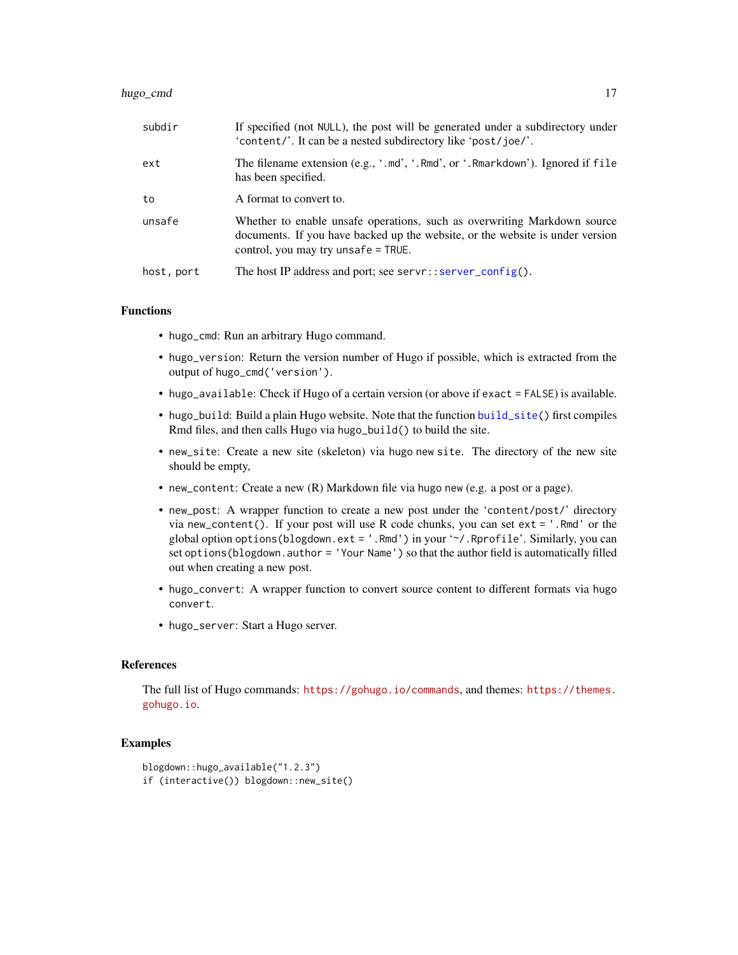#### <span id="page-16-0"></span>hugo\_cmd 17

| subdir     | If specified (not NULL), the post will be generated under a subdirectory under<br>'content/'. It can be a nested subdirectory like 'post/joe/'.                                                  |
|------------|--------------------------------------------------------------------------------------------------------------------------------------------------------------------------------------------------|
| ext        | The filename extension (e.g., '.md', '.Rmd', or '.Rmarkdown'). Ignored if file<br>has been specified.                                                                                            |
| to         | A format to convert to.                                                                                                                                                                          |
| unsafe     | Whether to enable unsafe operations, such as overwriting Markdown source<br>documents. If you have backed up the website, or the website is under version<br>control, you may try unsafe = TRUE. |
| host, port | The host IP address and port; see servr:: server_config().                                                                                                                                       |

# Functions

- hugo\_cmd: Run an arbitrary Hugo command.
- hugo\_version: Return the version number of Hugo if possible, which is extracted from the output of hugo\_cmd('version').
- hugo\_available: Check if Hugo of a certain version (or above if exact = FALSE) is available.
- hugo\_build: Build a plain Hugo website. Note that the function [build\\_site\(](#page-3-1)) first compiles Rmd files, and then calls Hugo via hugo\_build() to build the site.
- new\_site: Create a new site (skeleton) via hugo new site. The directory of the new site should be empty,
- new\_content: Create a new (R) Markdown file via hugo new (e.g. a post or a page).
- new\_post: A wrapper function to create a new post under the 'content/post/' directory via new\_content(). If your post will use R code chunks, you can set ext = '.Rmd' or the global option options(blogdown.ext = '.Rmd') in your '~/.Rprofile'. Similarly, you can set options(blogdown.author = 'Your Name') so that the author field is automatically filled out when creating a new post.
- hugo\_convert: A wrapper function to convert source content to different formats via hugo convert.
- hugo\_server: Start a Hugo server.

# References

The full list of Hugo commands: <https://gohugo.io/commands>, and themes: [https://themes.](https://themes.gohugo.io) [gohugo.io](https://themes.gohugo.io).

# Examples

```
blogdown::hugo_available("1.2.3")
if (interactive()) blogdown::new_site()
```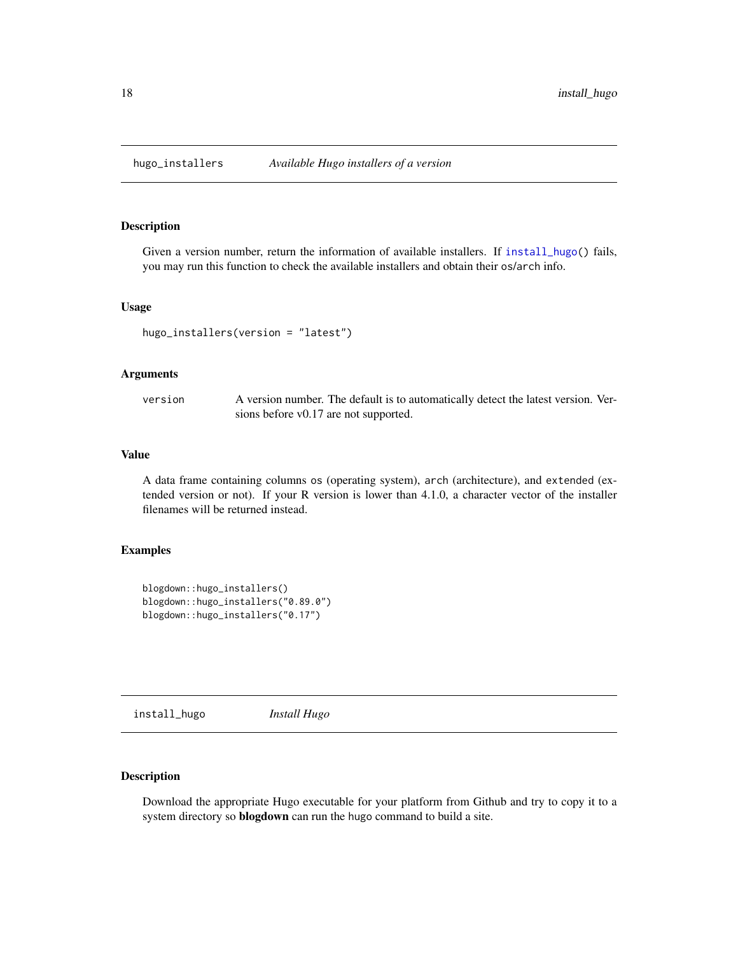<span id="page-17-0"></span>

Given a version number, return the information of available installers. If [install\\_hugo\(](#page-17-1)) fails, you may run this function to check the available installers and obtain their os/arch info.

#### Usage

hugo\_installers(version = "latest")

#### Arguments

| version | A version number. The default is to automatically detect the latest version. Ver- |
|---------|-----------------------------------------------------------------------------------|
|         | sions before v0.17 are not supported.                                             |

#### Value

A data frame containing columns os (operating system), arch (architecture), and extended (extended version or not). If your R version is lower than 4.1.0, a character vector of the installer filenames will be returned instead.

# Examples

```
blogdown::hugo_installers()
blogdown::hugo_installers("0.89.0")
blogdown::hugo_installers("0.17")
```
<span id="page-17-1"></span>install\_hugo *Install Hugo*

# Description

Download the appropriate Hugo executable for your platform from Github and try to copy it to a system directory so blogdown can run the hugo command to build a site.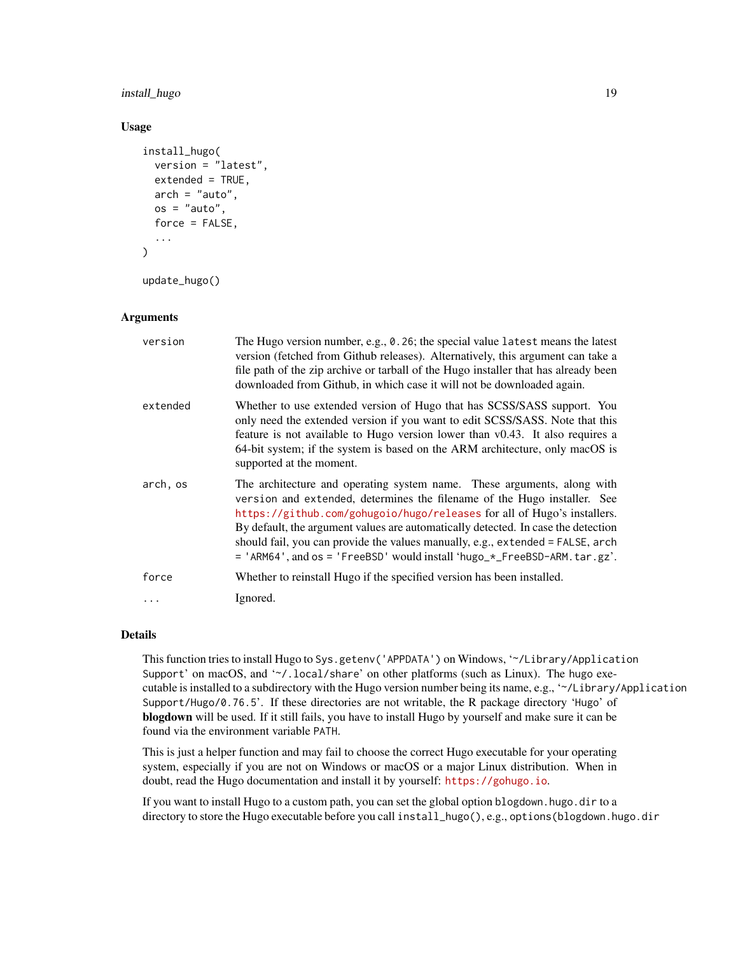# install\_hugo 19

# Usage

```
install_hugo(
 version = "latest",
 extended = TRUE,
 arch = "auto",os = "auto",force = FALSE,...
)
```
# update\_hugo()

# Arguments

| version   | The Hugo version number, e.g., $\theta$ . 26; the special value latest means the latest<br>version (fetched from Github releases). Alternatively, this argument can take a<br>file path of the zip archive or tarball of the Hugo installer that has already been<br>downloaded from Github, in which case it will not be downloaded again.                                                                                                                                        |
|-----------|------------------------------------------------------------------------------------------------------------------------------------------------------------------------------------------------------------------------------------------------------------------------------------------------------------------------------------------------------------------------------------------------------------------------------------------------------------------------------------|
| extended  | Whether to use extended version of Hugo that has SCSS/SASS support. You<br>only need the extended version if you want to edit SCSS/SASS. Note that this<br>feature is not available to Hugo version lower than v0.43. It also requires a<br>64-bit system; if the system is based on the ARM architecture, only macOS is<br>supported at the moment.                                                                                                                               |
| arch, os  | The architecture and operating system name. These arguments, along with<br>version and extended, determines the filename of the Hugo installer. See<br>https://github.com/gohugoio/hugo/releases for all of Hugo's installers.<br>By default, the argument values are automatically detected. In case the detection<br>should fail, you can provide the values manually, e.g., extended = FALSE, arch<br>= 'ARM64', and os = 'FreeBSD' would install 'hugo_*_FreeBSD-ARM. tar.gz'. |
| force     | Whether to reinstall Hugo if the specified version has been installed.                                                                                                                                                                                                                                                                                                                                                                                                             |
| $\ddotsc$ | Ignored.                                                                                                                                                                                                                                                                                                                                                                                                                                                                           |

# Details

This function tries to install Hugo to Sys.getenv('APPDATA') on Windows, '~/Library/Application Support' on macOS, and '~/.local/share' on other platforms (such as Linux). The hugo executable is installed to a subdirectory with the Hugo version number being its name, e.g., '~/Library/Application Support/Hugo/0.76.5'. If these directories are not writable, the R package directory 'Hugo' of blogdown will be used. If it still fails, you have to install Hugo by yourself and make sure it can be found via the environment variable PATH.

This is just a helper function and may fail to choose the correct Hugo executable for your operating system, especially if you are not on Windows or macOS or a major Linux distribution. When in doubt, read the Hugo documentation and install it by yourself: <https://gohugo.io>.

If you want to install Hugo to a custom path, you can set the global option blogdown.hugo.dir to a directory to store the Hugo executable before you call install\_hugo(), e.g., options(blogdown.hugo.dir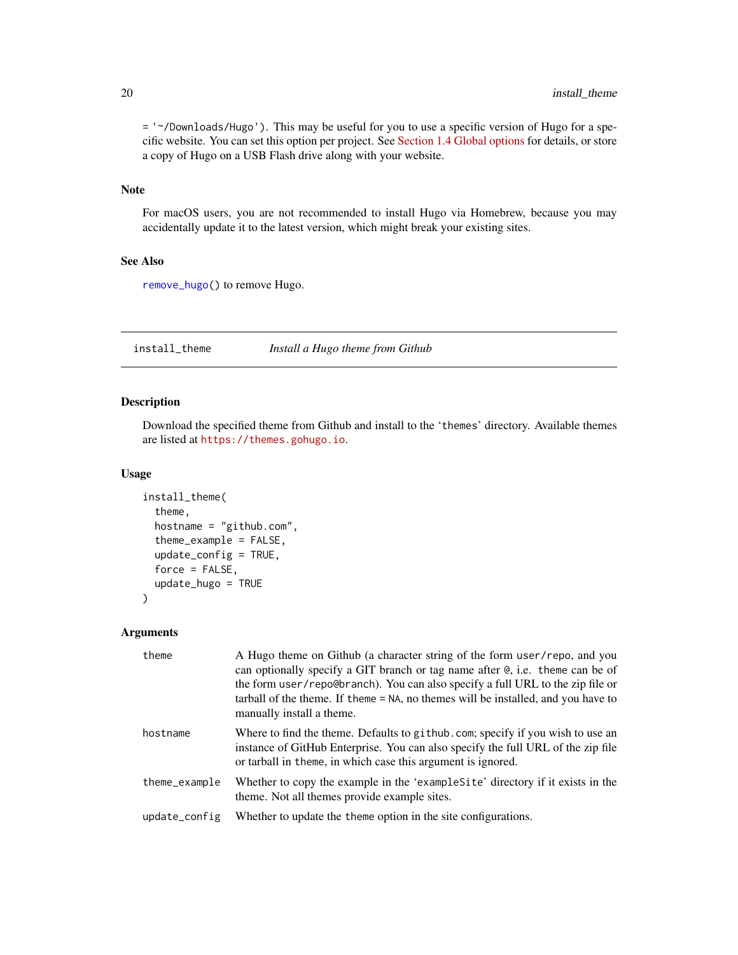= '~/Downloads/Hugo'). This may be useful for you to use a specific version of Hugo for a specific website. You can set this option per project. See [Section 1.4 Global options](https://bookdown.org/yihui/blogdown/global-options.html) for details, or store a copy of Hugo on a USB Flash drive along with your website.

# Note

For macOS users, you are not recommended to install Hugo via Homebrew, because you may accidentally update it to the latest version, which might break your existing sites.

# See Also

[remove\\_hugo\(](#page-10-1)) to remove Hugo.

install\_theme *Install a Hugo theme from Github*

# Description

Download the specified theme from Github and install to the 'themes' directory. Available themes are listed at <https://themes.gohugo.io>.

### Usage

```
install_theme(
  theme,
  hostname = "github.com",
  theme_example = FALSE,
  update_config = TRUE,
  force = FALSE,
  update_hugo = TRUE
)
```
#### Arguments

| theme         | A Hugo theme on Github (a character string of the form user/repo, and you<br>can optionally specify a GIT branch or tag name after @, i.e. theme can be of<br>the form user/repo@branch). You can also specify a full URL to the zip file or<br>tarball of the theme. If theme = NA, no themes will be installed, and you have to<br>manually install a theme. |
|---------------|----------------------------------------------------------------------------------------------------------------------------------------------------------------------------------------------------------------------------------------------------------------------------------------------------------------------------------------------------------------|
| hostname      | Where to find the theme. Defaults to github.com; specify if you wish to use an<br>instance of GitHub Enterprise. You can also specify the full URL of the zip file<br>or tarball in theme, in which case this argument is ignored.                                                                                                                             |
| theme_example | Whether to copy the example in the 'example Site' directory if it exists in the<br>theme. Not all themes provide example sites.                                                                                                                                                                                                                                |
| update_config | Whether to update the theme option in the site configurations.                                                                                                                                                                                                                                                                                                 |

<span id="page-19-0"></span>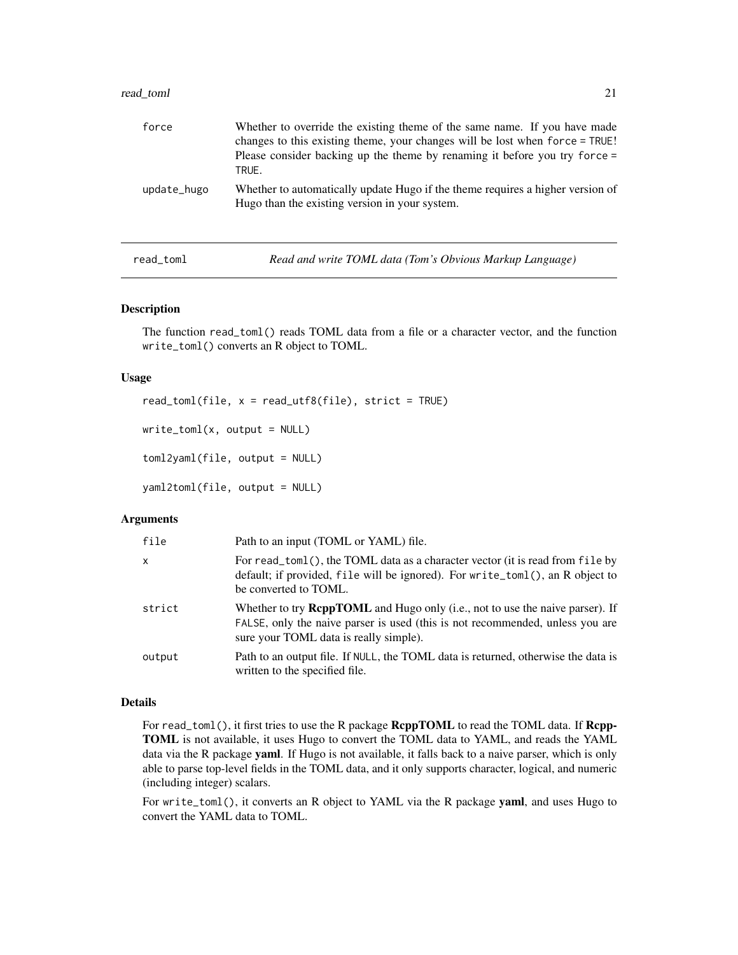<span id="page-20-0"></span>

| read toml   | 21                                                                                                                                                                                                                                                 |
|-------------|----------------------------------------------------------------------------------------------------------------------------------------------------------------------------------------------------------------------------------------------------|
| force       | Whether to override the existing theme of the same name. If you have made<br>changes to this existing theme, your changes will be lost when force = TRUE!<br>Please consider backing up the theme by renaming it before you try force $=$<br>TRUE. |
| update_hugo | Whether to automatically update Hugo if the theme requires a higher version of<br>Hugo than the existing version in your system.                                                                                                                   |

read\_toml *Read and write TOML data (Tom's Obvious Markup Language)*

# Description

The function read\_toml() reads TOML data from a file or a character vector, and the function write\_toml() converts an R object to TOML.

# Usage

```
read_toml(file, x = read_utf8(file), strict = TRUE)
write\_toml(x, output = NULL)toml2yaml(file, output = NULL)
yaml2toml(file, output = NULL)
```
# Arguments

| file         | Path to an input (TOML or YAML) file.                                                                                                                                                                           |
|--------------|-----------------------------------------------------------------------------------------------------------------------------------------------------------------------------------------------------------------|
| $\mathsf{x}$ | For read_toml(), the TOML data as a character vector (it is read from file by<br>default; if provided, file will be ignored). For write_toml(), an R object to<br>be converted to TOML.                         |
| strict       | Whether to try <b>ReppTOML</b> and Hugo only (i.e., not to use the naive parser). If<br>FALSE, only the naive parser is used (this is not recommended, unless you are<br>sure your TOML data is really simple). |
| output       | Path to an output file. If NULL, the TOML data is returned, otherwise the data is<br>written to the specified file.                                                                                             |

# Details

For read\_toml(), it first tries to use the R package **RcppTOML** to read the TOML data. If **Rcpp-**TOML is not available, it uses Hugo to convert the TOML data to YAML, and reads the YAML data via the R package yaml. If Hugo is not available, it falls back to a naive parser, which is only able to parse top-level fields in the TOML data, and it only supports character, logical, and numeric (including integer) scalars.

For write\_toml(), it converts an R object to YAML via the R package yaml, and uses Hugo to convert the YAML data to TOML.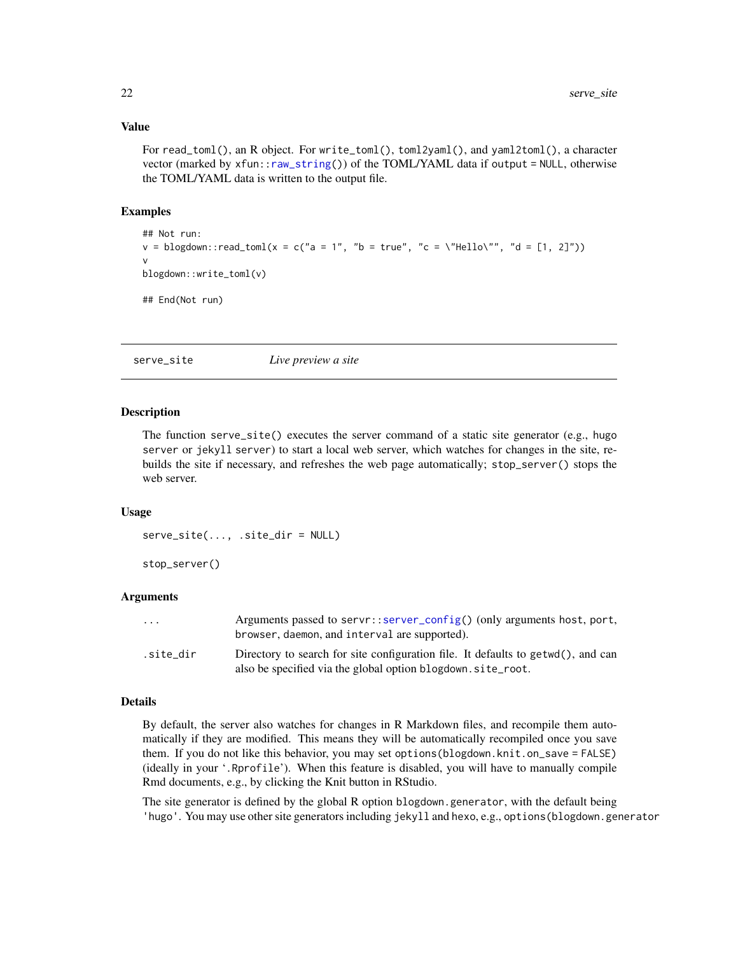# <span id="page-21-0"></span>Value

For read\_toml(), an R object. For write\_toml(), toml2yaml(), and yaml2toml(), a character vector (marked by xfun:[:raw\\_string\(](#page-0-0))) of the TOML/YAML data if output = NULL, otherwise the TOML/YAML data is written to the output file.

# Examples

```
## Not run:
v = \text{blogdown::read\_toml}(x = c("a = 1", "b = true", "c = \text{'Hello\'", "d = [1, 2]"))v
blogdown::write_toml(v)
## End(Not run)
```
<span id="page-21-1"></span>serve\_site *Live preview a site*

#### Description

The function serve\_site() executes the server command of a static site generator (e.g., hugo server or jekyll server) to start a local web server, which watches for changes in the site, rebuilds the site if necessary, and refreshes the web page automatically; stop\_server() stops the web server.

# Usage

serve\_site(..., .site\_dir = NULL)

stop\_server()

# **Arguments**

| $\cdot$ $\cdot$ $\cdot$ | Arguments passed to servr::server_config() (only arguments host, port,<br>browser, daemon, and interval are supported).                         |
|-------------------------|-------------------------------------------------------------------------------------------------------------------------------------------------|
| site dir.               | Directory to search for site configuration file. It defaults to getwd(), and can<br>also be specified via the global option blogdown.site_root. |

# Details

By default, the server also watches for changes in R Markdown files, and recompile them automatically if they are modified. This means they will be automatically recompiled once you save them. If you do not like this behavior, you may set options(blogdown.knit.on\_save = FALSE) (ideally in your '.Rprofile'). When this feature is disabled, you will have to manually compile Rmd documents, e.g., by clicking the Knit button in RStudio.

The site generator is defined by the global R option blogdown.generator, with the default being 'hugo'. You may use other site generators including jekyll and hexo, e.g., options(blogdown.generator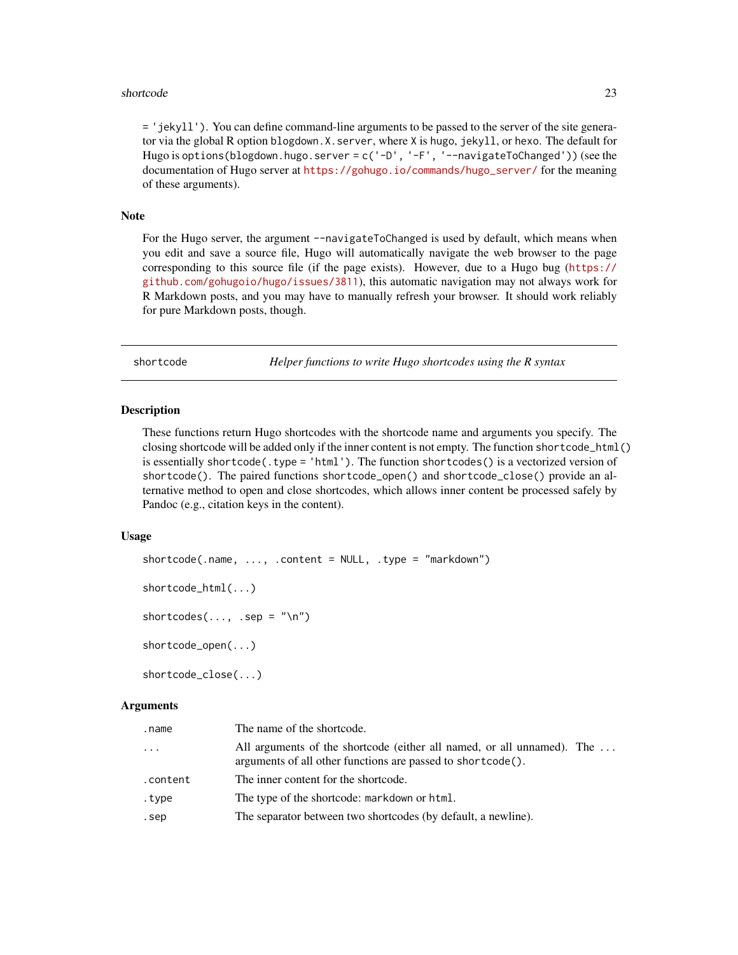#### <span id="page-22-0"></span>shortcode 23

= 'jekyll'). You can define command-line arguments to be passed to the server of the site generator via the global R option blogdown.X.server, where X is hugo, jekyll, or hexo. The default for Hugo is options(blogdown.hugo.server =  $c('-D', '-F', '--navigateToChanged'))$  (see the documentation of Hugo server at [https://gohugo.io/commands/hugo\\_server/](https://gohugo.io/commands/hugo_server/) for the meaning of these arguments).

#### **Note**

For the Hugo server, the argument --navigateToChanged is used by default, which means when you edit and save a source file, Hugo will automatically navigate the web browser to the page corresponding to this source file (if the page exists). However, due to a Hugo bug ([https://](https://github.com/gohugoio/hugo/issues/3811) [github.com/gohugoio/hugo/issues/3811](https://github.com/gohugoio/hugo/issues/3811)), this automatic navigation may not always work for R Markdown posts, and you may have to manually refresh your browser. It should work reliably for pure Markdown posts, though.

shortcode *Helper functions to write Hugo shortcodes using the R syntax*

#### Description

These functions return Hugo shortcodes with the shortcode name and arguments you specify. The closing shortcode will be added only if the inner content is not empty. The function shortcode\_html() is essentially shortcode(.type = 'html'). The function shortcodes() is a vectorized version of shortcode(). The paired functions shortcode\_open() and shortcode\_close() provide an alternative method to open and close shortcodes, which allows inner content be processed safely by Pandoc (e.g., citation keys in the content).

# Usage

```
shortcode(.name, ..., .content = NULL, .type = "markdown")
shortcode_html(...)
shortcodes(..., .sep = "n")shortcode_open(...)
```
shortcode\_close(...)

#### Arguments

| .name    | The name of the shortcode.                                                                                                            |
|----------|---------------------------------------------------------------------------------------------------------------------------------------|
| .        | All arguments of the shortcode (either all named, or all unnamed). The<br>arguments of all other functions are passed to shortcode(). |
| .content | The inner content for the shortcode.                                                                                                  |
| .type    | The type of the shortcode: markdown or html.                                                                                          |
| .sep     | The separator between two shortcodes (by default, a newline).                                                                         |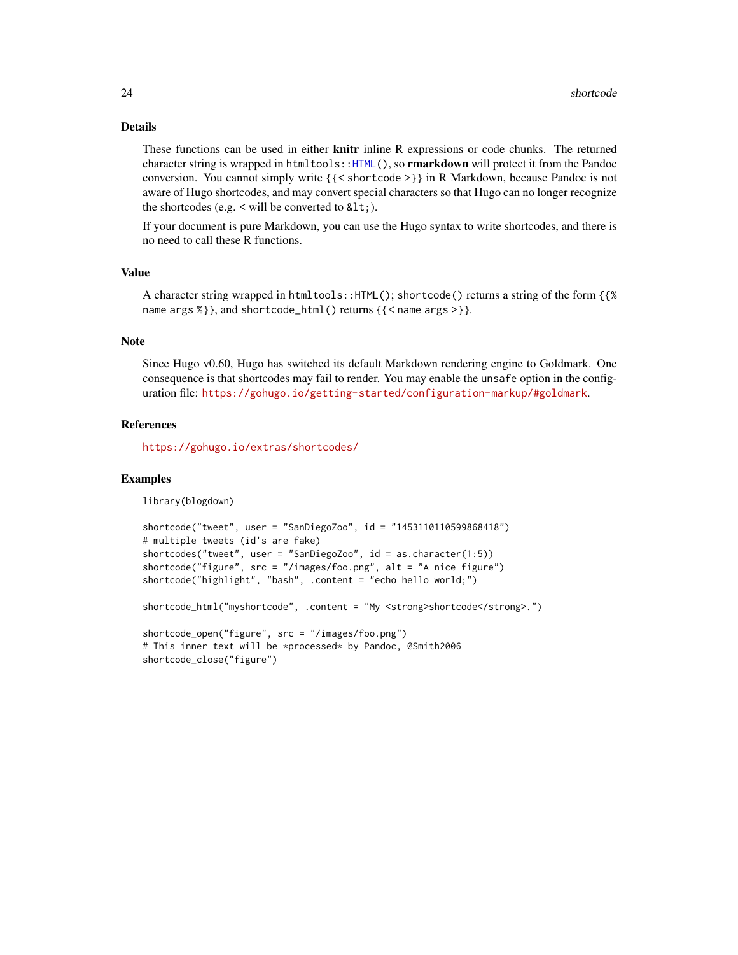# Details

These functions can be used in either knitr inline R expressions or code chunks. The returned character string is wrapped in htmltools:[:HTML\(](#page-0-0)), so **rmarkdown** will protect it from the Pandoc conversion. You cannot simply write {{< shortcode >}} in R Markdown, because Pandoc is not aware of Hugo shortcodes, and may convert special characters so that Hugo can no longer recognize the shortcodes (e.g.  $\le$  will be converted to  $< 1$ ,).

If your document is pure Markdown, you can use the Hugo syntax to write shortcodes, and there is no need to call these R functions.

# Value

A character string wrapped in htmltools::HTML(); shortcode() returns a string of the form {{% name args %}}, and shortcode\_html() returns {{< name args >}}.

# Note

Since Hugo v0.60, Hugo has switched its default Markdown rendering engine to Goldmark. One consequence is that shortcodes may fail to render. You may enable the unsafe option in the configuration file: <https://gohugo.io/getting-started/configuration-markup/#goldmark>.

# References

<https://gohugo.io/extras/shortcodes/>

# Examples

library(blogdown)

```
shortcode("tweet", user = "SanDiegoZoo", id = "1453110110599868418")
# multiple tweets (id's are fake)
shortcodes("tweet", user = "SanDiegoZoo", id = as.character(1:5))
shortcode("figure", src = "/images/foo.png", alt = "A nice figure")
shortcode("highlight", "bash", .content = "echo hello world;")
shortcode_html("myshortcode", .content = "My <strong>shortcode</strong>.")
shortcode_open("figure", src = "/images/foo.png")
```

```
# This inner text will be *processed* by Pandoc, @Smith2006
shortcode_close("figure")
```
<span id="page-23-0"></span>